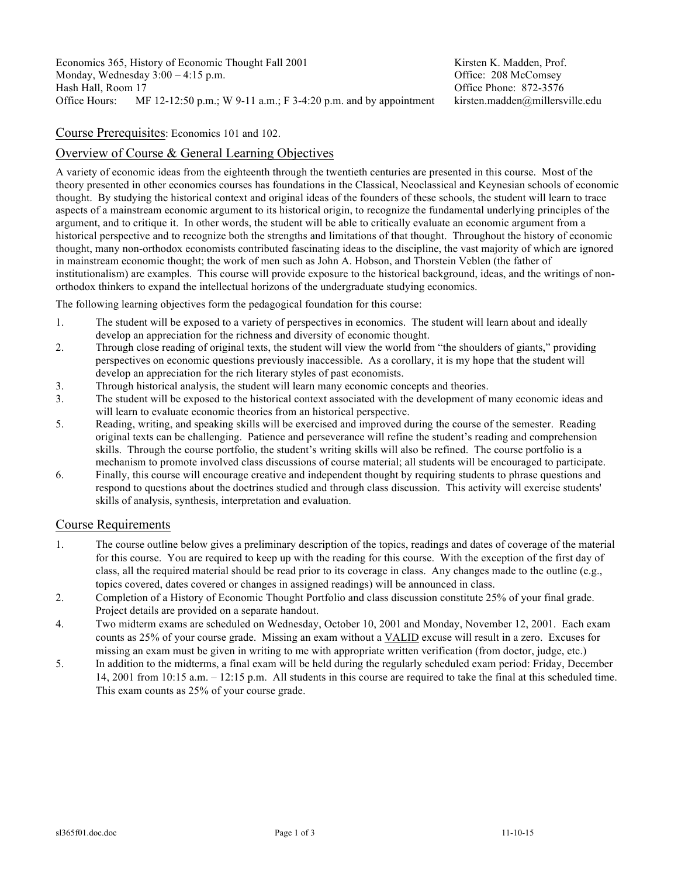Economics 365, History of Economic Thought Fall 2001 Kirsten K. Madden, Prof.<br>
Monday, Wednesday 3:00 – 4:15 p.m. Coffice: 208 McComsev Monday, Wednesday  $3:00 - 4:15$  p.m. Hash Hall, Room 17 Communication of the United States of the Office Phone: 872-3576 Office Hours: MF 12-12:50 p.m.; W 9-11 a.m.; F 3-4:20 p.m. and by appointment kirsten.madden@millersville.edu

#### Course Prerequisites: Economics 101 and 102.

# Overview of Course & General Learning Objectives

A variety of economic ideas from the eighteenth through the twentieth centuries are presented in this course. Most of the theory presented in other economics courses has foundations in the Classical, Neoclassical and Keynesian schools of economic thought. By studying the historical context and original ideas of the founders of these schools, the student will learn to trace aspects of a mainstream economic argument to its historical origin, to recognize the fundamental underlying principles of the argument, and to critique it. In other words, the student will be able to critically evaluate an economic argument from a historical perspective and to recognize both the strengths and limitations of that thought. Throughout the history of economic thought, many non-orthodox economists contributed fascinating ideas to the discipline, the vast majority of which are ignored in mainstream economic thought; the work of men such as John A. Hobson, and Thorstein Veblen (the father of institutionalism) are examples. This course will provide exposure to the historical background, ideas, and the writings of nonorthodox thinkers to expand the intellectual horizons of the undergraduate studying economics.

The following learning objectives form the pedagogical foundation for this course:

- 1. The student will be exposed to a variety of perspectives in economics. The student will learn about and ideally develop an appreciation for the richness and diversity of economic thought.
- 2. Through close reading of original texts, the student will view the world from "the shoulders of giants," providing perspectives on economic questions previously inaccessible. As a corollary, it is my hope that the student will develop an appreciation for the rich literary styles of past economists.
- 3. Through historical analysis, the student will learn many economic concepts and theories.
- 3. The student will be exposed to the historical context associated with the development of many economic ideas and will learn to evaluate economic theories from an historical perspective.
- 5. Reading, writing, and speaking skills will be exercised and improved during the course of the semester. Reading original texts can be challenging. Patience and perseverance will refine the student's reading and comprehension skills. Through the course portfolio, the student's writing skills will also be refined. The course portfolio is a mechanism to promote involved class discussions of course material; all students will be encouraged to participate.
- 6. Finally, this course will encourage creative and independent thought by requiring students to phrase questions and respond to questions about the doctrines studied and through class discussion. This activity will exercise students' skills of analysis, synthesis, interpretation and evaluation.

### Course Requirements

- 1. The course outline below gives a preliminary description of the topics, readings and dates of coverage of the material for this course. You are required to keep up with the reading for this course. With the exception of the first day of class, all the required material should be read prior to its coverage in class. Any changes made to the outline (e.g., topics covered, dates covered or changes in assigned readings) will be announced in class.
- 2. Completion of a History of Economic Thought Portfolio and class discussion constitute 25% of your final grade. Project details are provided on a separate handout.
- 4. Two midterm exams are scheduled on Wednesday, October 10, 2001 and Monday, November 12, 2001. Each exam counts as 25% of your course grade. Missing an exam without a VALID excuse will result in a zero. Excuses for missing an exam must be given in writing to me with appropriate written verification (from doctor, judge, etc.)
- 5. In addition to the midterms, a final exam will be held during the regularly scheduled exam period: Friday, December 14, 2001 from 10:15 a.m. – 12:15 p.m. All students in this course are required to take the final at this scheduled time. This exam counts as 25% of your course grade.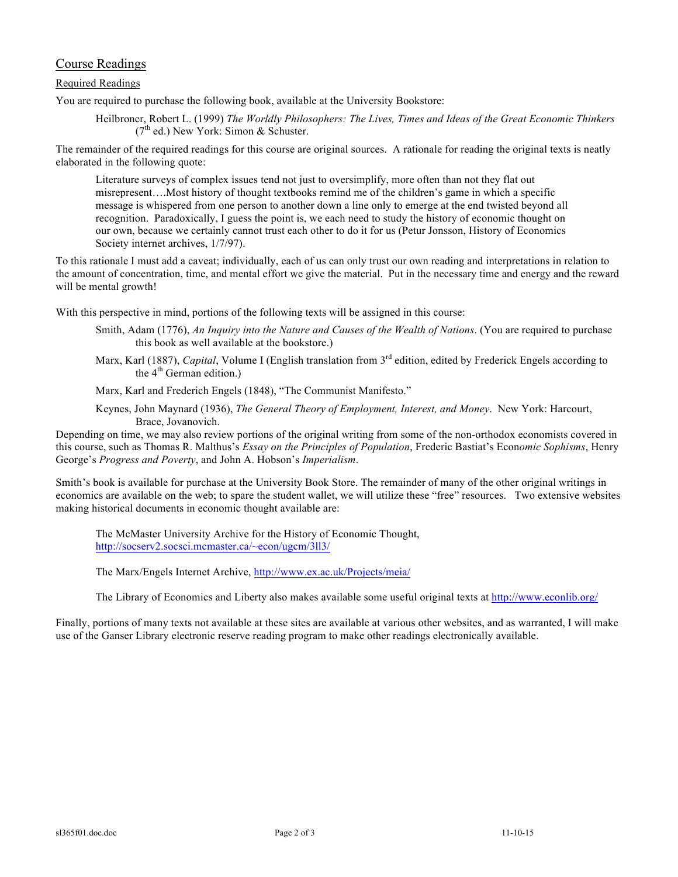# Course Readings

#### Required Readings

You are required to purchase the following book, available at the University Bookstore:

Heilbroner, Robert L. (1999) *The Worldly Philosophers: The Lives, Times and Ideas of the Great Economic Thinkers*  $(7<sup>th</sup>$  ed.) New York: Simon & Schuster.

The remainder of the required readings for this course are original sources. A rationale for reading the original texts is neatly elaborated in the following quote:

Literature surveys of complex issues tend not just to oversimplify, more often than not they flat out misrepresent….Most history of thought textbooks remind me of the children's game in which a specific message is whispered from one person to another down a line only to emerge at the end twisted beyond all recognition. Paradoxically, I guess the point is, we each need to study the history of economic thought on our own, because we certainly cannot trust each other to do it for us (Petur Jonsson, History of Economics Society internet archives, 1/7/97).

To this rationale I must add a caveat; individually, each of us can only trust our own reading and interpretations in relation to the amount of concentration, time, and mental effort we give the material. Put in the necessary time and energy and the reward will be mental growth!

With this perspective in mind, portions of the following texts will be assigned in this course:

- Smith, Adam (1776), *An Inquiry into the Nature and Causes of the Wealth of Nations*. (You are required to purchase this book as well available at the bookstore.)
- Marx, Karl (1887), *Capital*, Volume I (English translation from 3<sup>rd</sup> edition, edited by Frederick Engels according to the  $4<sup>th</sup>$  German edition.)

Marx, Karl and Frederich Engels (1848), "The Communist Manifesto."

Keynes, John Maynard (1936), *The General Theory of Employment, Interest, and Money*. New York: Harcourt, Brace, Jovanovich.

Depending on time, we may also review portions of the original writing from some of the non-orthodox economists covered in this course, such as Thomas R. Malthus's *Essay on the Principles of Population*, Frederic Bastiat's Econ*omic Sophisms*, Henry George's *Progress and Poverty*, and John A. Hobson's *Imperialism*.

Smith's book is available for purchase at the University Book Store. The remainder of many of the other original writings in economics are available on the web; to spare the student wallet, we will utilize these "free" resources. Two extensive websites making historical documents in economic thought available are:

The McMaster University Archive for the History of Economic Thought, http://socserv2.socsci.mcmaster.ca/~econ/ugcm/3ll3/

The Marx/Engels Internet Archive, http://www.ex.ac.uk/Projects/meia/

The Library of Economics and Liberty also makes available some useful original texts at http://www.econlib.org/

Finally, portions of many texts not available at these sites are available at various other websites, and as warranted, I will make use of the Ganser Library electronic reserve reading program to make other readings electronically available.